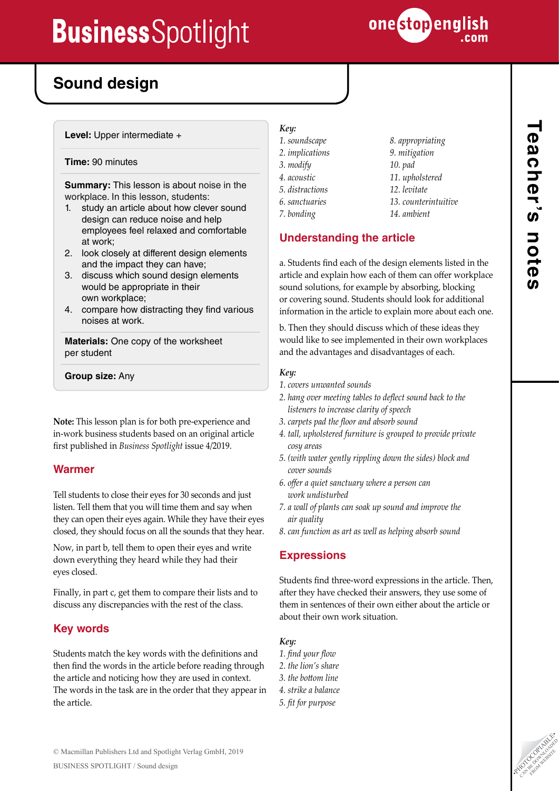

*8. appropriating 9. mitigation 10. pad 11. upholstered 12. levitate*

*13. counterintuitive 14. ambient*

# **Sound design**

**Level:** Upper intermediate +

### **Time:** 90 minutes

**Summary:** This lesson is about noise in the workplace. In this lesson, students:

- 1. study an article about how clever sound design can reduce noise and help employees feel relaxed and comfortable at work;
- 2. look closely at different design elements and the impact they can have;
- 3. discuss which sound design elements would be appropriate in their own workplace;
- 4. compare how distracting they find various noises at work.

**Materials:** One copy of the worksheet per student

**Group size:** Any

**Note:** This lesson plan is for both pre-experience and in-work business students based on an original article first published in *Business Spotlight* issue 4/2019.

## **Warmer**

Tell students to close their eyes for 30 seconds and just listen. Tell them that you will time them and say when they can open their eyes again. While they have their eyes closed, they should focus on all the sounds that they hear.

Now, in part b, tell them to open their eyes and write down everything they heard while they had their eyes closed.

Finally, in part c, get them to compare their lists and to discuss any discrepancies with the rest of the class.

## **Key words**

Students match the key words with the definitions and then find the words in the article before reading through the article and noticing how they are used in context. The words in the task are in the order that they appear in the article.

# *Key:*

- *1. soundscape*
- *2. implications*
- 
- 
- 
- 
- 

a. Students find each of the design elements listed in the article and explain how each of them can offer workplace sound solutions, for example by absorbing, blocking or covering sound. Students should look for additional information in the article to explain more about each one.

b. Then they should discuss which of these ideas they would like to see implemented in their own workplaces and the advantages and disadvantages of each.

### *Key:*

- *1. covers unwanted sounds*
- *2. hang over meeting tables to deflect sound back to the listeners to increase clarity of speech*
- *3. carpets pad the floor and absorb sound*
- *4. tall, upholstered furniture is grouped to provide private cosy areas*
- *5. (with water gently rippling down the sides) block and cover sounds*
- *6. offer a quiet sanctuary where a person can work undisturbed*
- *7. a wall of plants can soak up sound and improve the air quality*
- *8. can function as art as well as helping absorb sound*

## **Expressions**

Students find three-word expressions in the article. Then, after they have checked their answers, they use some of them in sentences of their own either about the article or about their own work situation.

## *Key:*

- *1. find your flow*
- *2. the lion's share*
- *3. the bottom line*
- *4. strike a balance*
- *5. fit for purpose*

- *3. modify*
- *4. acoustic*
- *5. distractions*
	- *6. sanctuaries*
	- *7. bonding*

# **Understanding the article**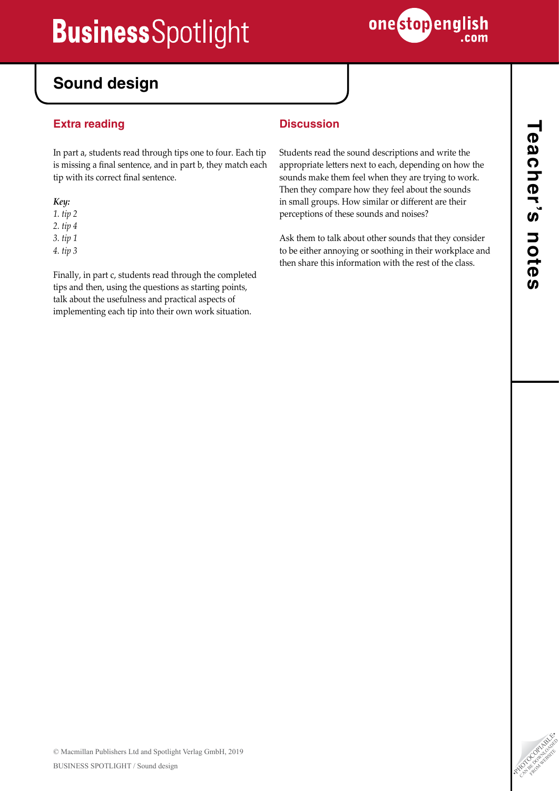

# **Sound design**

# **Extra reading**

In part a, students read through tips one to four. Each tip is missing a final sentence, and in part b, they match each tip with its correct final sentence.

### *Key:*

*1. tip 2 2. tip 4*

*3. tip 1*

*4. tip 3*

Finally, in part c, students read through the completed tips and then, using the questions as starting points, talk about the usefulness and practical aspects of implementing each tip into their own work situation.

# **Discussion**

Students read the sound descriptions and write the appropriate letters next to each, depending on how the sounds make them feel when they are trying to work. Then they compare how they feel about the sounds in small groups. How similar or different are their perceptions of these sounds and noises?

Ask them to talk about other sounds that they consider to be either annoying or soothing in their workplace and then share this information with the rest of the class.

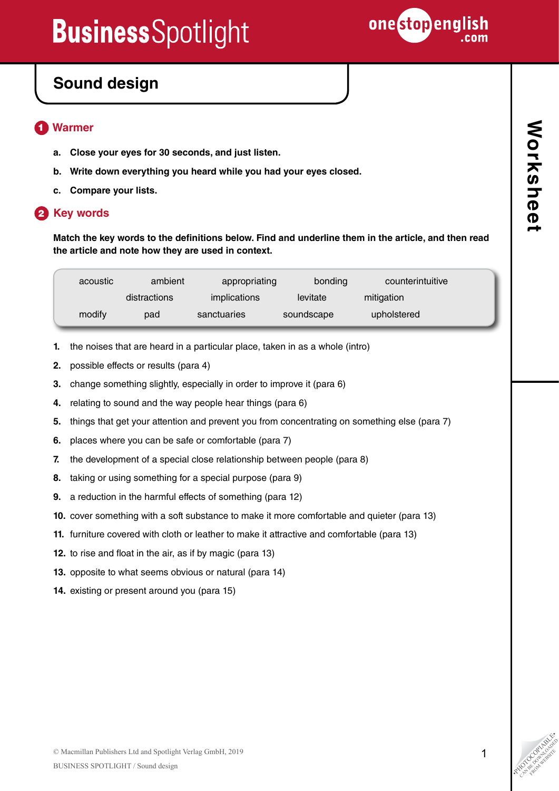

# **Sound design**

### **Warmer** 1

- **a. Close your eyes for 30 seconds, and just listen.**
- **b. Write down everything you heard while you had your eyes closed.**
- **c. Compare your lists.**

# **2** Key words

**Match the key words to the definitions below. Find and underline them in the article, and then read the article and note how they are used in context.**

| acoustic | ambient      | appropriating | bonding    | counterintuitive |
|----------|--------------|---------------|------------|------------------|
|          | distractions | implications  | levitate   | mitigation       |
| modify   | pad          | sanctuaries   | soundscape | upholstered      |

- **1.** the noises that are heard in a particular place, taken in as a whole (intro)
- **2.** possible effects or results (para 4)
- **3.** change something slightly, especially in order to improve it (para 6)
- **4.** relating to sound and the way people hear things (para 6)
- **5.** things that get your attention and prevent you from concentrating on something else (para 7)
- **6.** places where you can be safe or comfortable (para 7)
- **7.** the development of a special close relationship between people (para 8)
- **8.** taking or using something for a special purpose (para 9)
- **9.** a reduction in the harmful effects of something (para 12)
- **10.** cover something with a soft substance to make it more comfortable and quieter (para 13)
- **11.** furniture covered with cloth or leather to make it attractive and comfortable (para 13)
- **12.** to rise and float in the air, as if by magic (para 13)
- **13.** opposite to what seems obvious or natural (para 14)
- **14.** existing or present around you (para 15)

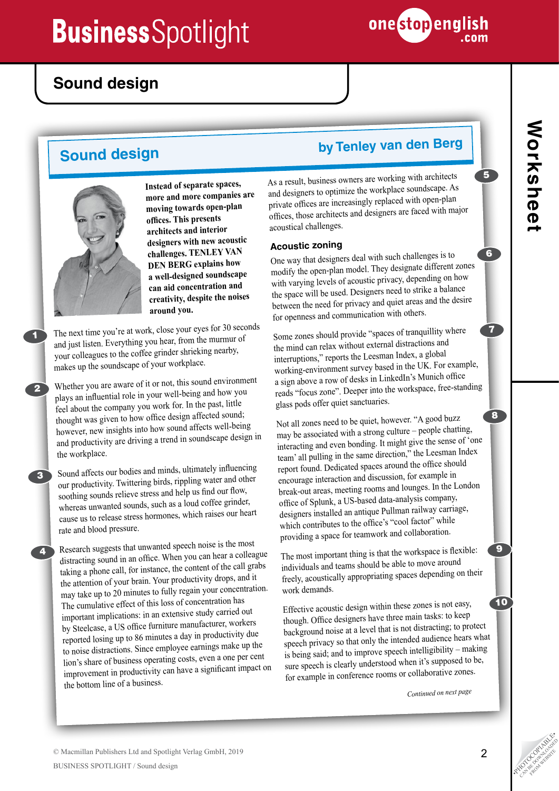

# **Sound design**



1

2

3

4

**Instead of separate spaces, more and more companies are moving towards open-plan offices. This presents architects and interior designers with new acoustic challenges. TENLEY VAN DEN BERG explains how a well-designed soundscape can aid concentration and creativity, despite the noises around you.** 

The next time you're at work, close your eyes for 30 seconds and just listen. Everything you hear, from the murmur o<sup>f</sup> your colleagues to the coffee grinder shrieking nearby, makes up the soundscape of your workplace.

Whether you are aware of it or not, this sound environment plays an influential role in your well-being and how you feel about the company you work for. In the past, little thought was given to how office design affected sound; however, new insights into how sound affects well-being and productivity are driving a trend in soundscape design in the workplace.

Sound affects our bodies and minds, ultimately influencing our productivity. Twittering birds, rippling water and other soothing sounds relieve stress and help us find our flow, whereas unwanted sounds, such as a loud coffee grinder, cause us to release stress hormones, which raises our heart rate and blood pressure.

Research suggests that unwanted speech noise is the most distracting sound in an office. When you can hear a colleague taking a phone call, for instance, the content of the call grabs the attention of your brain. Your productivity drops, and it may take up to 20 minutes to fully regain your concentration. The cumulative effect of this loss of concentration has important implications: in an extensive study carried out by Steelcase, a US office furniture manufacturer, workers reported losing up to 86 minutes a day in productivity due to noise distractions. Since employee earnings make up the lion's share of business operating costs, even a one per cent improvement in productivity can have a significant impact on the bottom line of a business.

# **Sound design by Tenley van den Berg**

As a result, business owners are working with architects and designers to optimize the workplace soundscape. As private offices are increasingly replaced with open-plan offices, those architects and designers are faced with major acoustical challenges.

## **Acoustic zoning**

One way that designers deal with such challenges is to modify the open-plan model. They designate different zones with varying levels of acoustic privacy, depending on how the space will be used. Designers need to strike a balance between the need for privacy and quiet areas and the desire for openness and communication with others.

Some zones should provide "spaces of tranquillity where the mind can relax without external distractions and interruptions," reports the Leesman Index, a global working-environment survey based in the UK. For example, a sign above a row of desks in LinkedIn's Munich office reads "focus zone". Deeper into the workspace, free-standing <sup>g</sup>lass pods offer quiet sanctuaries.

Not all zones need to be quiet, however. "A good buzz may be associated with a strong culture – people chatting, interacting and even bonding. It might give the sense of 'one team' all pulling in the same direction," the Leesman Index report found. Dedicated spaces around the office should encourage interaction and discussion, for example in break-out areas, meeting rooms and lounges. In the London office of Splunk, a US-based data-analysis company, designers installed an antique Pullman railway carriage, which contributes to the office's "cool factor" while providing a space for teamwork and collaboration.

The most important thing is that the workspace is flexible: individuals and teams should be able to move aroun<sup>d</sup> freely, acoustically appropriating spaces depending on their work demands.

Effective acoustic design within these zones is not easy, though. Office designers have three main tasks: to keep background noise at a level that is not distracting; to protect speech privacy so that only the intended audience hears what is being said; and to improve speech intelligibility – making sure speech is clearly understood when it's supposed to be, for example in conference rooms or collaborative zones.

*Continued on next page*

5

6

7

8

9

10

CAN BE DOWNLOAD FROM WEBSITE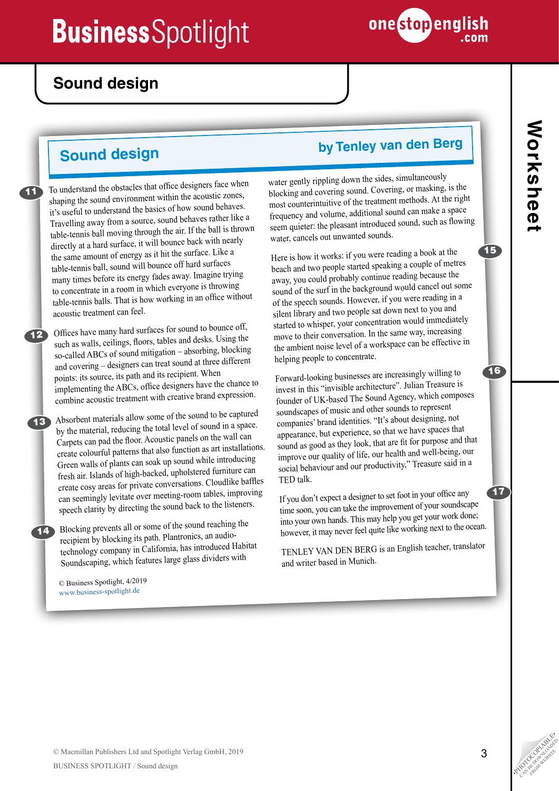

# **Sound design**

11

To understand the obstacles that office designers face when shaping the sound environment within the acoustic zones, it's useful to understand the basics of how sound behaves. Travelling away from a source, sound behaves rather like a table-tennis ball moving through the air. If the ball is thrown directly at a hard surface, it will bounce back with nearly the same amount of energy as it hit the surface. Like a table-tennis ball, sound will bounce off hard surfaces many times before its energy fades away. Imagine trying to concentrate in a room in which everyone is throwing table-tennis balls. That is how working in an office without acoustic treatment can feel.

Offices have many hard surfaces for sound to bounce off, such as walls, ceilings, floors, tables and desks. Using the so-called ABCs of sound mitigation – absorbing, blocking and covering – designers can treat sound at three different points: its source, its path and its recipient. When implementing the ABCs, office designers have the chance to combine acoustic treatment with creative brand expression. 12

Absorbent materials allow some of the sound to be captured by the material, reducing the total level of sound in a space. Carpets can pad the floor. Acoustic panels on the wall can create colourful patterns that also function as art installations. Green walls of plants can soak up sound while introducing fresh air. Islands of high-backed, upholstered furniture can create cosy areas for private conversations. Cloudlike baffles can seemingly levitate over meeting-room tables, improving speech clarity by directing the sound back to the listeners.

**14** Blocking prevents all or some of the sound reaching the recipient by blocking its path. Plantronics, an audiotechnology company in California, has introduced Habitat Soundscaping, which features large glass dividers with

© Business Spotlight, 4/2019 www.business-spotlight.de

# **Sound design by Tenley van den Berg**

water gently rippling down the sides, simultaneously blocking and covering sound. Covering, or masking, is the most counterintuitive of the treatment methods. At the right frequency and volume, additional sound can make a space seem quieter: the pleasant introduced sound, such as flowing water, cancels out unwanted sounds.

Here is how it works: if you were reading a book at the beach and two people started speaking a couple of metres away, you could probably continue reading because the sound of the surf in the background would cancel out some of the speech sounds. However, if you were reading in a silent library and two people sat down next to you an<sup>d</sup> started to whisper, your concentration would immediately move to their conversation. In the same way, increasing the ambient noise level of a workspace can be effective in helping people to concentrate.

Forward-looking businesses are increasingly willing to invest in this "invisible architecture". Julian Treasure is founder of UK-based The Sound Agency, which composes soundscapes of music and other sounds to represent companies' brand identities. "It's about designing, not appearance, but experience, so that we have spaces that sound as good as they look, that are fit for purpose and that improve our quality of life, our health and well-being, our social behaviour and our productivity," Treasure said in a TED talk.

If you don't expect a designer to set foot in your office any time soon, you can take the improvement of your soundscape into your own hands. This may help you get your work done; however, it may never feel quite like working next to the ocean.

TENLEY VAN DEN BERG is an English teacher, translator and writer based in Munich.

15

16

17

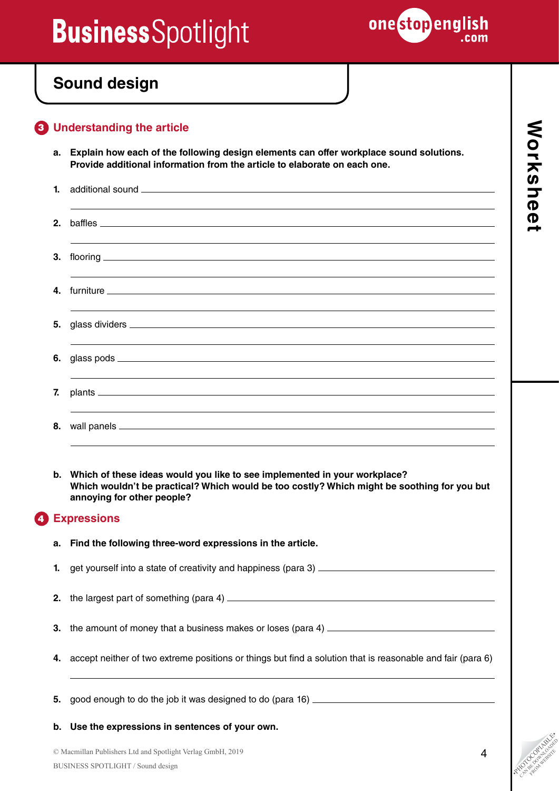

# **Sound design**

# **Understanding the article** 3

**a. Explain how each of the following design elements can offer workplace sound solutions. Provide additional information from the article to elaborate on each one.**

|    | ,我们也不能会有什么。""我们的人,我们也不能会有什么?""我们的人,我们也不能会有什么?""我们的人,我们也不能会有什么?""我们的人,我们也不能会有什么?""                                    |
|----|----------------------------------------------------------------------------------------------------------------------|
|    |                                                                                                                      |
|    | ,我们也不会有什么。""我们的人,我们也不会有什么?""我们的人,我们也不会有什么?""我们的人,我们也不会有什么?""我们的人,我们也不会有什么?""我们的人                                     |
|    |                                                                                                                      |
|    | ,我们也不能会有一个人的事情。""我们的人,我们也不能会有一个人的人,我们也不能会有一个人的人,我们也不能会有一个人的人,我们也不能会有一个人的人,我们也不能会                                     |
|    |                                                                                                                      |
|    | ,我们也不能会有什么。""我们的人,我们也不能会有什么?""我们的人,我们也不能会有什么?""我们的人,我们也不能会有什么?""我们的人,我们也不能会有什么?""                                    |
|    |                                                                                                                      |
|    | <u> 1989 - Andrea Santa Andrea Andrea Andrea Andrea Andrea Andrea Andrea Andrea Andrea Andrea Andrea Andrea Andr</u> |
|    |                                                                                                                      |
|    | ,我们也不会有什么。""我们的人,我们也不会有什么?""我们的人,我们也不会有什么?""我们的人,我们也不会有什么?""我们的人,我们也不会有什么?""我们的人                                     |
| 7. |                                                                                                                      |
|    | ,我们也不能会有什么。""我们的人,我们也不能会有什么?""我们的人,我们也不能会有什么?""我们的人,我们也不能会有什么?""我们的人,我们也不能会有什么?""                                    |
|    |                                                                                                                      |
|    |                                                                                                                      |

**b. Which of these ideas would you like to see implemented in your workplace? Which wouldn't be practical? Which would be too costly? Which might be soothing for you but annoying for other people?** 

### **Expressions** 4

**a. Find the following three-word expressions in the article.**

**1.** get yourself into a state of creativity and happiness (para 3)

- **2.** the largest part of something (para 4)
- **3.** the amount of money that a business makes or loses (para 4) \_\_\_\_\_\_\_\_\_\_\_\_\_\_\_\_\_\_\_\_\_\_
- **4.** accept neither of two extreme positions or things but find a solution that is reasonable and fair (para 6)

**5.** good enough to do the job it was designed to do (para 16) \_\_\_\_\_\_\_\_\_\_\_\_\_\_\_\_\_\_\_\_\_\_\_\_

**b. Use the expressions in sentences of your own.**

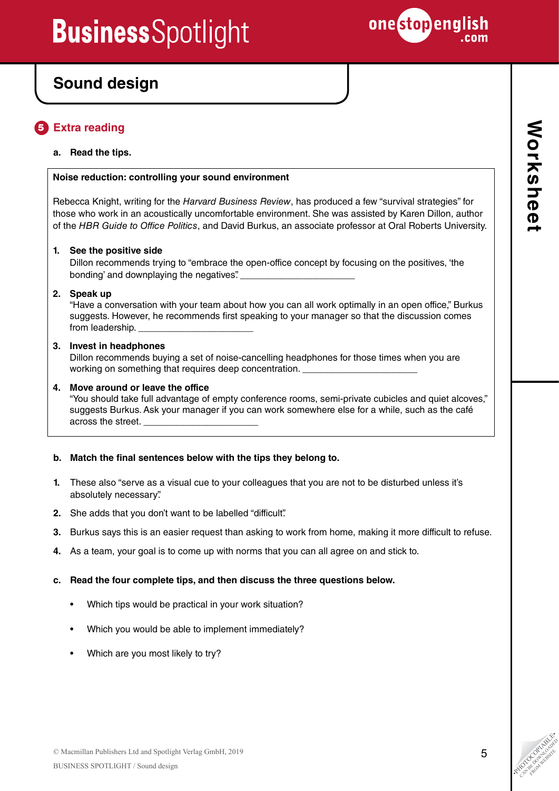

# **Sound design**

### **Extra reading**  5

## **a. Read the tips.**

### **Noise reduction: controlling your sound environment**

Rebecca Knight, writing for the *Harvard Business Review*, has produced a few "survival strategies" for those who work in an acoustically uncomfortable environment. She was assisted by Karen Dillon, author of the *HBR Guide to Office Politics*, and David Burkus, an associate professor at Oral Roberts University.

## **1. See the positive side**

Dillon recommends trying to "embrace the open-office concept by focusing on the positives, 'the bonding' and downplaying the negatives". \_\_\_\_\_\_\_\_\_\_\_\_\_\_\_\_\_\_\_\_\_\_

### **2. Speak up**

"Have a conversation with your team about how you can all work optimally in an open office," Burkus suggests. However, he recommends first speaking to your manager so that the discussion comes from leadership.

## **3. Invest in headphones**

Dillon recommends buying a set of noise-cancelling headphones for those times when you are working on something that requires deep concentration.

## **4. Move around or leave the office**

"You should take full advantage of empty conference rooms, semi-private cubicles and quiet alcoves," suggests Burkus. Ask your manager if you can work somewhere else for a while, such as the café across the street. \_\_\_\_\_\_\_\_\_\_\_\_\_\_\_\_\_\_\_\_\_\_

## **b. Match the final sentences below with the tips they belong to.**

- **1.** These also "serve as a visual cue to your colleagues that you are not to be disturbed unless it's absolutely necessary".
- **2.** She adds that you don't want to be labelled "difficult".
- **3.** Burkus says this is an easier request than asking to work from home, making it more difficult to refuse.
- **4.** As a team, your goal is to come up with norms that you can all agree on and stick to.

### **c. Read the four complete tips, and then discuss the three questions below.**

- Which tips would be practical in your work situation?
- Which you would be able to implement immediately?
- Which are you most likely to try?